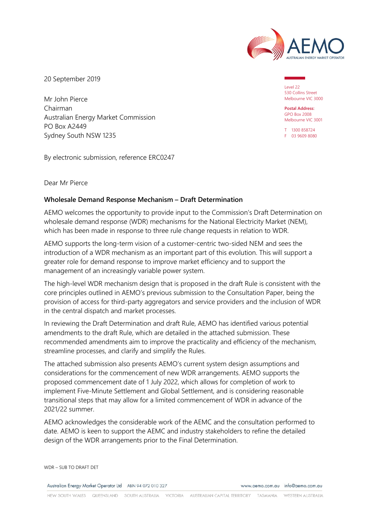

20 September 2019

Mr John Pierce Chairman Australian Energy Market Commission PO Box A2449 Sydney South NSW 1235

By electronic submission, reference ERC0247

Dear Mr Pierce

#### **Wholesale Demand Response Mechanism – Draft Determination**

AEMO welcomes the opportunity to provide input to the Commission's Draft Determination on wholesale demand response (WDR) mechanisms for the National Electricity Market (NEM), which has been made in response to three rule change requests in relation to WDR.

AEMO supports the long-term vision of a customer-centric two-sided NEM and sees the introduction of a WDR mechanism as an important part of this evolution. This will support a greater role for demand response to improve market efficiency and to support the management of an increasingly variable power system.

The high-level WDR mechanism design that is proposed in the draft Rule is consistent with the core principles outlined in AEMO's previous submission to the Consultation Paper, being the provision of access for third-party aggregators and service providers and the inclusion of WDR in the central dispatch and market processes.

In reviewing the Draft Determination and draft Rule, AEMO has identified various potential amendments to the draft Rule, which are detailed in the attached submission. These recommended amendments aim to improve the practicality and efficiency of the mechanism, streamline processes, and clarify and simplify the Rules.

The attached submission also presents AEMO's current system design assumptions and considerations for the commencement of new WDR arrangements. AEMO supports the proposed commencement date of 1 July 2022, which allows for completion of work to implement Five-Minute Settlement and Global Settlement, and is considering reasonable transitional steps that may allow for a limited commencement of WDR in advance of the 2021/22 summer.

AEMO acknowledges the considerable work of the AEMC and the consultation performed to date. AEMO is keen to support the AEMC and industry stakeholders to refine the detailed design of the WDR arrangements prior to the Final Determination.

Australian Energy Market Operator Ltd ABN 94 072 010 327

Level 22 530 Collins Street Melbourne VIC 3000

**Postal Address:** GPO Box 2008 Melbourne VIC 3001

T 1300 858724 F 03 9609 8080

www.aemo.com.au info@aemo.com.au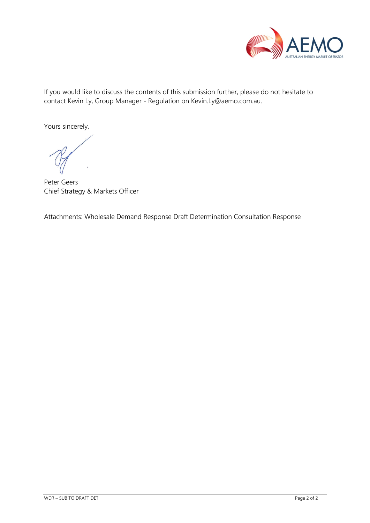

If you would like to discuss the contents of this submission further, please do not hesitate to contact Kevin Ly, Group Manager - Regulation on Kevin.Ly@aemo.com.au.

Yours sincerely,

Peter Geers Chief Strategy & Markets Officer

Attachments: Wholesale Demand Response Draft Determination Consultation Response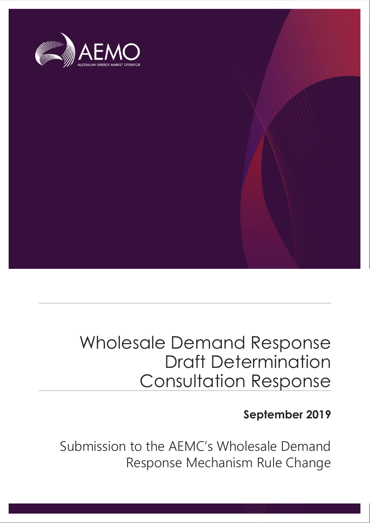

## Wholesale Demand Response Draft Determination Consultation Response

## **September 2019**

Submission to the AEMC's Wholesale Demand Response Mechanism Rule Change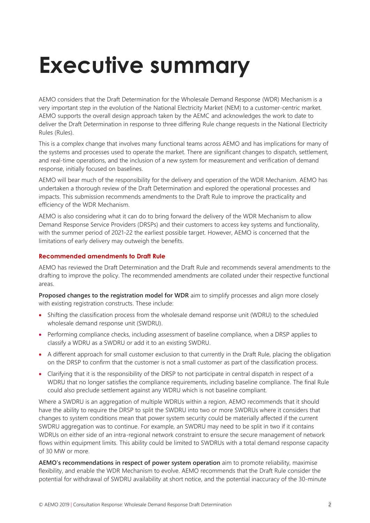## **Executive summary**

AEMO considers that the Draft Determination for the Wholesale Demand Response (WDR) Mechanism is a very important step in the evolution of the National Electricity Market (NEM) to a customer-centric market. AEMO supports the overall design approach taken by the AEMC and acknowledges the work to date to deliver the Draft Determination in response to three differing Rule change requests in the National Electricity Rules (Rules).

This is a complex change that involves many functional teams across AEMO and has implications for many of the systems and processes used to operate the market. There are significant changes to dispatch, settlement, and real-time operations, and the inclusion of a new system for measurement and verification of demand response, initially focused on baselines.

AEMO will bear much of the responsibility for the delivery and operation of the WDR Mechanism. AEMO has undertaken a thorough review of the Draft Determination and explored the operational processes and impacts. This submission recommends amendments to the Draft Rule to improve the practicality and efficiency of the WDR Mechanism.

AEMO is also considering what it can do to bring forward the delivery of the WDR Mechanism to allow Demand Response Service Providers (DRSPs) and their customers to access key systems and functionality, with the summer period of 2021-22 the earliest possible target. However, AEMO is concerned that the limitations of early delivery may outweigh the benefits.

#### **Recommended amendments to Draft Rule**

AEMO has reviewed the Draft Determination and the Draft Rule and recommends several amendments to the drafting to improve the policy. The recommended amendments are collated under their respective functional areas.

**Proposed changes to the registration model for WDR** aim to simplify processes and align more closely with existing registration constructs. These include:

- Shifting the classification process from the wholesale demand response unit (WDRU) to the scheduled wholesale demand response unit (SWDRU).
- Performing compliance checks, including assessment of baseline compliance, when a DRSP applies to classify a WDRU as a SWDRU or add it to an existing SWDRU.
- A different approach for small customer exclusion to that currently in the Draft Rule, placing the obligation on the DRSP to confirm that the customer is not a small customer as part of the classification process.
- Clarifying that it is the responsibility of the DRSP to not participate in central dispatch in respect of a WDRU that no longer satisfies the compliance requirements, including baseline compliance. The final Rule could also preclude settlement against any WDRU which is not baseline compliant.

Where a SWDRU is an aggregation of multiple WDRUs within a region, AEMO recommends that it should have the ability to require the DRSP to split the SWDRU into two or more SWDRUs where it considers that changes to system conditions mean that power system security could be materially affected if the current SWDRU aggregation was to continue. For example, an SWDRU may need to be split in two if it contains WDRUs on either side of an intra-regional network constraint to ensure the secure management of network flows within equipment limits. This ability could be limited to SWDRUs with a total demand response capacity of 30 MW or more.

**AEMO's recommendations in respect of power system operation** aim to promote reliability, maximise flexibility, and enable the WDR Mechanism to evolve. AEMO recommends that the Draft Rule consider the potential for withdrawal of SWDRU availability at short notice, and the potential inaccuracy of the 30-minute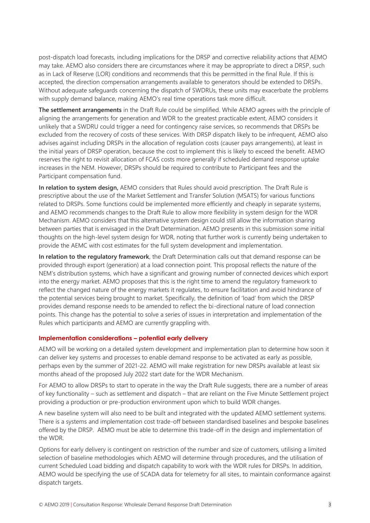post-dispatch load forecasts, including implications for the DRSP and corrective reliability actions that AEMO may take. AEMO also considers there are circumstances where it may be appropriate to direct a DRSP, such as in Lack of Reserve (LOR) conditions and recommends that this be permitted in the final Rule. If this is accepted, the direction compensation arrangements available to generators should be extended to DRSPs. Without adequate safeguards concerning the dispatch of SWDRUs, these units may exacerbate the problems with supply demand balance, making AEMO's real time operations task more difficult.

**The settlement arrangements** in the Draft Rule could be simplified. While AEMO agrees with the principle of aligning the arrangements for generation and WDR to the greatest practicable extent, AEMO considers it unlikely that a SWDRU could trigger a need for contingency raise services, so recommends that DRSPs be excluded from the recovery of costs of these services. With DRSP dispatch likely to be infrequent, AEMO also advises against including DRSPs in the allocation of regulation costs (causer pays arrangements), at least in the initial years of DRSP operation, because the cost to implement this is likely to exceed the benefit. AEMO reserves the right to revisit allocation of FCAS costs more generally if scheduled demand response uptake increases in the NEM. However, DRSPs should be required to contribute to Participant fees and the Participant compensation fund.

**In relation to system design,** AEMO considers that Rules should avoid prescription. The Draft Rule is prescriptive about the use of the Market Settlement and Transfer Solution (MSATS) for various functions related to DRSPs. Some functions could be implemented more efficiently and cheaply in separate systems, and AEMO recommends changes to the Draft Rule to allow more flexibility in system design for the WDR Mechanism. AEMO considers that this alternative system design could still allow the information sharing between parties that is envisaged in the Draft Determination. AEMO presents in this submission some initial thoughts on the high-level system design for WDR, noting that further work is currently being undertaken to provide the AEMC with cost estimates for the full system development and implementation.

**In relation to the regulatory framework**, the Draft Determination calls out that demand response can be provided through export (generation) at a load connection point. This proposal reflects the nature of the NEM's distribution systems, which have a significant and growing number of connected devices which export into the energy market. AEMO proposes that this is the right time to amend the regulatory framework to reflect the changed nature of the energy markets it regulates, to ensure facilitation and avoid hindrance of the potential services being brought to market. Specifically, the definition of 'load' from which the DRSP provides demand response needs to be amended to reflect the bi-directional nature of load connection points. This change has the potential to solve a series of issues in interpretation and implementation of the Rules which participants and AEMO are currently grappling with.

#### **Implementation considerations – potential early delivery**

AEMO will be working on a detailed system development and implementation plan to determine how soon it can deliver key systems and processes to enable demand response to be activated as early as possible, perhaps even by the summer of 2021-22. AEMO will make registration for new DRSPs available at least six months ahead of the proposed July 2022 start date for the WDR Mechanism.

For AEMO to allow DRSPs to start to operate in the way the Draft Rule suggests, there are a number of areas of key functionality – such as settlement and dispatch – that are reliant on the Five Minute Settlement project providing a production or pre-production environment upon which to build WDR changes.

A new baseline system will also need to be built and integrated with the updated AEMO settlement systems. There is a systems and implementation cost trade-off between standardised baselines and bespoke baselines offered by the DRSP. AEMO must be able to determine this trade-off in the design and implementation of the WDR.

Options for early delivery is contingent on restriction of the number and size of customers, utilising a limited selection of baseline methodologies which AEMO will determine through procedures, and the utilisation of current Scheduled Load bidding and dispatch capability to work with the WDR rules for DRSPs. In addition, AEMO would be specifying the use of SCADA data for telemetry for all sites, to maintain conformance against dispatch targets.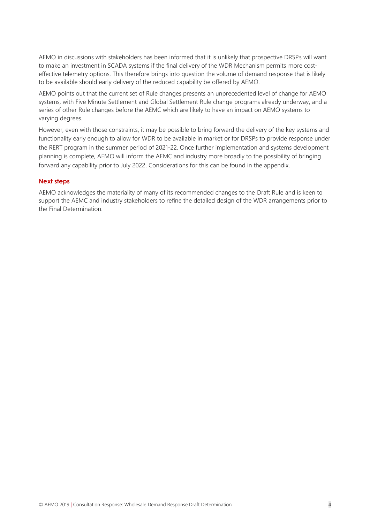AEMO in discussions with stakeholders has been informed that it is unlikely that prospective DRSPs will want to make an investment in SCADA systems if the final delivery of the WDR Mechanism permits more costeffective telemetry options. This therefore brings into question the volume of demand response that is likely to be available should early delivery of the reduced capability be offered by AEMO.

AEMO points out that the current set of Rule changes presents an unprecedented level of change for AEMO systems, with Five Minute Settlement and Global Settlement Rule change programs already underway, and a series of other Rule changes before the AEMC which are likely to have an impact on AEMO systems to varying degrees.

However, even with those constraints, it may be possible to bring forward the delivery of the key systems and functionality early enough to allow for WDR to be available in market or for DRSPs to provide response under the RERT program in the summer period of 2021-22. Once further implementation and systems development planning is complete, AEMO will inform the AEMC and industry more broadly to the possibility of bringing forward any capability prior to July 2022. Considerations for this can be found in the appendix.

#### **Next steps**

AEMO acknowledges the materiality of many of its recommended changes to the Draft Rule and is keen to support the AEMC and industry stakeholders to refine the detailed design of the WDR arrangements prior to the Final Determination.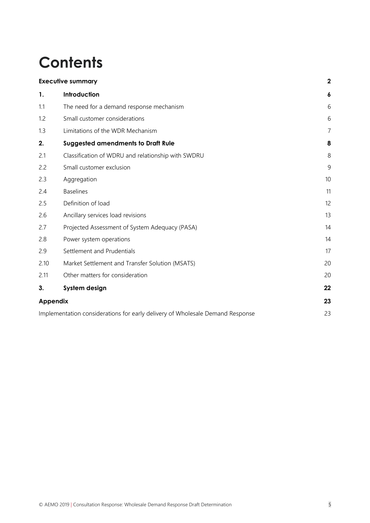## **Contents**

| <b>Executive summary</b>                                                      |                                                    |                |
|-------------------------------------------------------------------------------|----------------------------------------------------|----------------|
| 1.                                                                            | Introduction                                       | 6              |
| 1.1                                                                           | The need for a demand response mechanism           | 6              |
| 1.2                                                                           | Small customer considerations                      | 6              |
| 1.3                                                                           | Limitations of the WDR Mechanism                   | $\overline{7}$ |
| 2.                                                                            | <b>Suggested amendments to Draft Rule</b>          | 8              |
| 2.1                                                                           | Classification of WDRU and relationship with SWDRU | 8              |
| 2.2                                                                           | Small customer exclusion                           | 9              |
| 2.3                                                                           | Aggregation                                        | 10             |
| 2.4                                                                           | <b>Baselines</b>                                   | 11             |
| 2.5                                                                           | Definition of load                                 | 12             |
| 2.6                                                                           | Ancillary services load revisions                  | 13             |
| 2.7                                                                           | Projected Assessment of System Adequacy (PASA)     | 14             |
| 2.8                                                                           | Power system operations                            | 14             |
| 2.9                                                                           | Settlement and Prudentials                         | 17             |
| 2.10                                                                          | Market Settlement and Transfer Solution (MSATS)    | 20             |
| 2.11                                                                          | Other matters for consideration                    | 20             |
| 3.                                                                            | System design                                      | 22             |
| <b>Appendix</b>                                                               |                                                    |                |
| Implementation considerations for early delivery of Wholesale Demand Response |                                                    |                |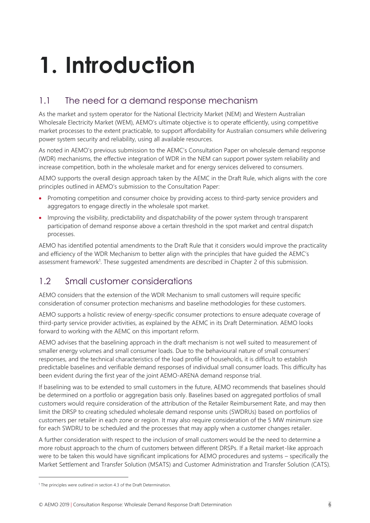# **1. Introduction**

## 1.1 The need for a demand response mechanism

As the market and system operator for the National Electricity Market (NEM) and Western Australian Wholesale Electricity Market (WEM), AEMO's ultimate objective is to operate efficiently, using competitive market processes to the extent practicable, to support affordability for Australian consumers while delivering power system security and reliability, using all available resources.

As noted in AEMO's previous submission to the AEMC's Consultation Paper on wholesale demand response (WDR) mechanisms, the effective integration of WDR in the NEM can support power system reliability and increase competition, both in the wholesale market and for energy services delivered to consumers.

AEMO supports the overall design approach taken by the AEMC in the Draft Rule, which aligns with the core principles outlined in AEMO's submission to the Consultation Paper:

- Promoting competition and consumer choice by providing access to third-party service providers and aggregators to engage directly in the wholesale spot market.
- Improving the visibility, predictability and dispatchability of the power system through transparent participation of demand response above a certain threshold in the spot market and central dispatch processes.

AEMO has identified potential amendments to the Draft Rule that it considers would improve the practicality and efficiency of the WDR Mechanism to better align with the principles that have guided the AEMC's assessment framework<sup>1</sup>. These suggested amendments are described in Chapter 2 of this submission.

## 1.2 Small customer considerations

AEMO considers that the extension of the WDR Mechanism to small customers will require specific consideration of consumer protection mechanisms and baseline methodologies for these customers.

AEMO supports a holistic review of energy-specific consumer protections to ensure adequate coverage of third-party service provider activities, as explained by the AEMC in its Draft Determination. AEMO looks forward to working with the AEMC on this important reform.

AEMO advises that the baselining approach in the draft mechanism is not well suited to measurement of smaller energy volumes and small consumer loads. Due to the behavioural nature of small consumers' responses, and the technical characteristics of the load profile of households, it is difficult to establish predictable baselines and verifiable demand responses of individual small consumer loads. This difficulty has been evident during the first year of the joint AEMO-ARENA demand response trial.

If baselining was to be extended to small customers in the future, AEMO recommends that baselines should be determined on a portfolio or aggregation basis only. Baselines based on aggregated portfolios of small customers would require consideration of the attribution of the Retailer Reimbursement Rate, and may then limit the DRSP to creating scheduled wholesale demand response units (SWDRUs) based on portfolios of customers per retailer in each zone or region. It may also require consideration of the 5 MW minimum size for each SWDRU to be scheduled and the processes that may apply when a customer changes retailer.

A further consideration with respect to the inclusion of small customers would be the need to determine a more robust approach to the churn of customers between different DRSPs. If a Retail market-like approach were to be taken this would have significant implications for AEMO procedures and systems – specifically the Market Settlement and Transfer Solution (MSATS) and Customer Administration and Transfer Solution (CATS).

 $\overline{a}$ 

<sup>&</sup>lt;sup>1</sup> The principles were outlined in section 4.3 of the Draft Determination.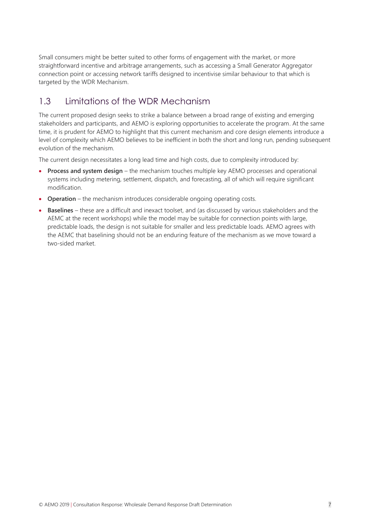Small consumers might be better suited to other forms of engagement with the market, or more straightforward incentive and arbitrage arrangements, such as accessing a Small Generator Aggregator connection point or accessing network tariffs designed to incentivise similar behaviour to that which is targeted by the WDR Mechanism.

## 1.3 Limitations of the WDR Mechanism

The current proposed design seeks to strike a balance between a broad range of existing and emerging stakeholders and participants, and AEMO is exploring opportunities to accelerate the program. At the same time, it is prudent for AEMO to highlight that this current mechanism and core design elements introduce a level of complexity which AEMO believes to be inefficient in both the short and long run, pending subsequent evolution of the mechanism.

The current design necessitates a long lead time and high costs, due to complexity introduced by:

- **Process and system design** the mechanism touches multiple key AEMO processes and operational systems including metering, settlement, dispatch, and forecasting, all of which will require significant modification.
- **Operation** the mechanism introduces considerable ongoing operating costs.
- **Baselines** these are a difficult and inexact toolset, and (as discussed by various stakeholders and the AEMC at the recent workshops) while the model may be suitable for connection points with large, predictable loads, the design is not suitable for smaller and less predictable loads. AEMO agrees with the AEMC that baselining should not be an enduring feature of the mechanism as we move toward a two-sided market.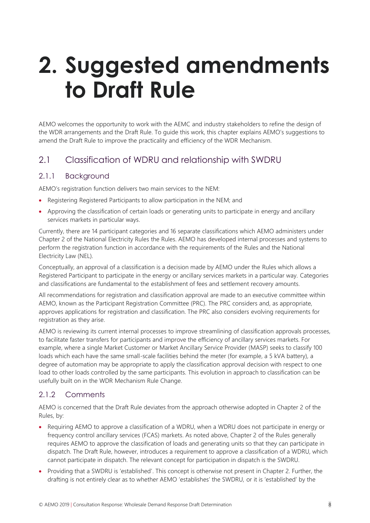## **2. Suggested amendments to Draft Rule**

AEMO welcomes the opportunity to work with the AEMC and industry stakeholders to refine the design of the WDR arrangements and the Draft Rule. To guide this work, this chapter explains AEMO's suggestions to amend the Draft Rule to improve the practicality and efficiency of the WDR Mechanism.

## 2.1 Classification of WDRU and relationship with SWDRU

#### 2.1.1 Background

AEMO's registration function delivers two main services to the NEM:

- Registering Registered Participants to allow participation in the NEM; and
- Approving the classification of certain loads or generating units to participate in energy and ancillary services markets in particular ways.

Currently, there are 14 participant categories and 16 separate classifications which AEMO administers under Chapter 2 of the National Electricity Rules the Rules. AEMO has developed internal processes and systems to perform the registration function in accordance with the requirements of the Rules and the National Electricity Law (NEL).

Conceptually, an approval of a classification is a decision made by AEMO under the Rules which allows a Registered Participant to participate in the energy or ancillary services markets in a particular way. Categories and classifications are fundamental to the establishment of fees and settlement recovery amounts.

All recommendations for registration and classification approval are made to an executive committee within AEMO, known as the Participant Registration Committee (PRC). The PRC considers and, as appropriate, approves applications for registration and classification. The PRC also considers evolving requirements for registration as they arise.

AEMO is reviewing its current internal processes to improve streamlining of classification approvals processes, to facilitate faster transfers for participants and improve the efficiency of ancillary services markets. For example, where a single Market Customer or Market Ancillary Service Provider (MASP) seeks to classify 100 loads which each have the same small-scale facilities behind the meter (for example, a 5 kVA battery), a degree of automation may be appropriate to apply the classification approval decision with respect to one load to other loads controlled by the same participants. This evolution in approach to classification can be usefully built on in the WDR Mechanism Rule Change.

#### 2.1.2 Comments

AEMO is concerned that the Draft Rule deviates from the approach otherwise adopted in Chapter 2 of the Rules, by:

- Requiring AEMO to approve a classification of a WDRU, when a WDRU does not participate in energy or frequency control ancillary services (FCAS) markets. As noted above, Chapter 2 of the Rules generally requires AEMO to approve the classification of loads and generating units so that they can participate in dispatch. The Draft Rule, however, introduces a requirement to approve a classification of a WDRU, which cannot participate in dispatch. The relevant concept for participation in dispatch is the SWDRU.
- Providing that a SWDRU is 'established'. This concept is otherwise not present in Chapter 2. Further, the drafting is not entirely clear as to whether AEMO 'establishes' the SWDRU, or it is 'established' by the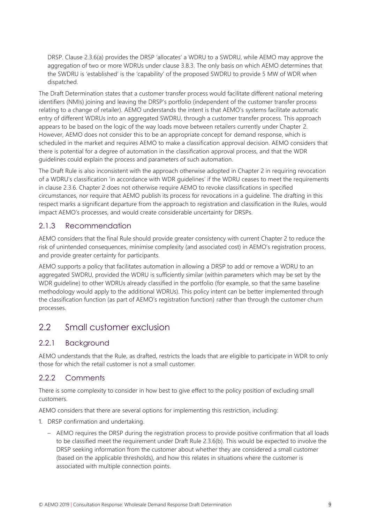DRSP. Clause 2.3.6(a) provides the DRSP 'allocates' a WDRU to a SWDRU, while AEMO may approve the aggregation of two or more WDRUs under clause 3.8.3. The only basis on which AEMO determines that the SWDRU is 'established' is the 'capability' of the proposed SWDRU to provide 5 MW of WDR when dispatched.

The Draft Determination states that a customer transfer process would facilitate different national metering identifiers (NMIs) joining and leaving the DRSP's portfolio (independent of the customer transfer process relating to a change of retailer). AEMO understands the intent is that AEMO's systems facilitate automatic entry of different WDRUs into an aggregated SWDRU, through a customer transfer process. This approach appears to be based on the logic of the way loads move between retailers currently under Chapter 2. However, AEMO does not consider this to be an appropriate concept for demand response, which is scheduled in the market and requires AEMO to make a classification approval decision. AEMO considers that there is potential for a degree of automation in the classification approval process, and that the WDR guidelines could explain the process and parameters of such automation.

The Draft Rule is also inconsistent with the approach otherwise adopted in Chapter 2 in requiring revocation of a WDRU's classification 'in accordance with WDR guidelines' if the WDRU ceases to meet the requirements in clause 2.3.6. Chapter 2 does not otherwise require AEMO to revoke classifications in specified circumstances, nor require that AEMO publish its process for revocations in a guideline. The drafting in this respect marks a significant departure from the approach to registration and classification in the Rules, would impact AEMO's processes, and would create considerable uncertainty for DRSPs.

#### 2.1.3 Recommendation

AEMO considers that the final Rule should provide greater consistency with current Chapter 2 to reduce the risk of unintended consequences, minimise complexity (and associated cost) in AEMO's registration process, and provide greater certainty for participants.

AEMO supports a policy that facilitates automation in allowing a DRSP to add or remove a WDRU to an aggregated SWDRU, provided the WDRU is sufficiently similar (within parameters which may be set by the WDR guideline) to other WDRUs already classified in the portfolio (for example, so that the same baseline methodology would apply to the additional WDRUs). This policy intent can be better implemented through the classification function (as part of AEMO's registration function) rather than through the customer churn processes.

## 2.2 Small customer exclusion

#### 2.2.1 Background

AEMO understands that the Rule, as drafted, restricts the loads that are eligible to participate in WDR to only those for which the retail customer is not a small customer.

## 2.2.2 Comments

There is some complexity to consider in how best to give effect to the policy position of excluding small customers.

AEMO considers that there are several options for implementing this restriction, including:

- 1. DRSP confirmation and undertaking.
	- AEMO requires the DRSP during the registration process to provide positive confirmation that all loads to be classified meet the requirement under Draft Rule 2.3.6(b). This would be expected to involve the DRSP seeking information from the customer about whether they are considered a small customer (based on the applicable thresholds), and how this relates in situations where the customer is associated with multiple connection points.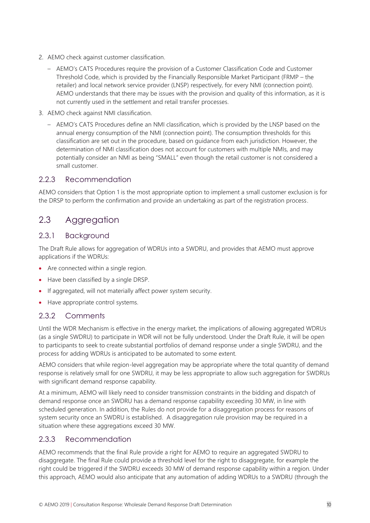- 2. AEMO check against customer classification.
	- AEMO's CATS Procedures require the provision of a Customer Classification Code and Customer Threshold Code, which is provided by the Financially Responsible Market Participant (FRMP – the retailer) and local network service provider (LNSP) respectively, for every NMI (connection point). AEMO understands that there may be issues with the provision and quality of this information, as it is not currently used in the settlement and retail transfer processes.
- 3. AEMO check against NMI classification.
	- AEMO's CATS Procedures define an NMI classification, which is provided by the LNSP based on the annual energy consumption of the NMI (connection point). The consumption thresholds for this classification are set out in the procedure, based on guidance from each jurisdiction. However, the determination of NMI classification does not account for customers with multiple NMIs, and may potentially consider an NMI as being "SMALL" even though the retail customer is not considered a small customer.

#### 2.2.3 Recommendation

AEMO considers that Option 1 is the most appropriate option to implement a small customer exclusion is for the DRSP to perform the confirmation and provide an undertaking as part of the registration process.

## 2.3 Aggregation

#### 2.3.1 Background

The Draft Rule allows for aggregation of WDRUs into a SWDRU, and provides that AEMO must approve applications if the WDRUs:

- Are connected within a single region.
- Have been classified by a single DRSP.
- If aggregated, will not materially affect power system security.
- Have appropriate control systems.

#### 2.3.2 Comments

Until the WDR Mechanism is effective in the energy market, the implications of allowing aggregated WDRUs (as a single SWDRU) to participate in WDR will not be fully understood. Under the Draft Rule, it will be open to participants to seek to create substantial portfolios of demand response under a single SWDRU, and the process for adding WDRUs is anticipated to be automated to some extent.

AEMO considers that while region-level aggregation may be appropriate where the total quantity of demand response is relatively small for one SWDRU, it may be less appropriate to allow such aggregation for SWDRUs with significant demand response capability.

At a minimum, AEMO will likely need to consider transmission constraints in the bidding and dispatch of demand response once an SWDRU has a demand response capability exceeding 30 MW, in line with scheduled generation. In addition, the Rules do not provide for a disaggregation process for reasons of system security once an SWDRU is established. A disaggregation rule provision may be required in a situation where these aggregations exceed 30 MW.

#### 2.3.3 Recommendation

AEMO recommends that the final Rule provide a right for AEMO to require an aggregated SWDRU to disaggregate. The final Rule could provide a threshold level for the right to disaggregate, for example the right could be triggered if the SWDRU exceeds 30 MW of demand response capability within a region. Under this approach, AEMO would also anticipate that any automation of adding WDRUs to a SWDRU (through the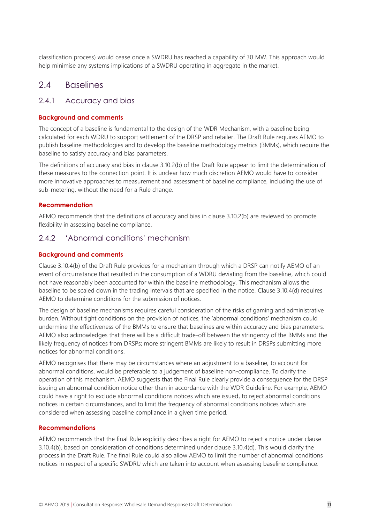classification process) would cease once a SWDRU has reached a capability of 30 MW. This approach would help minimise any systems implications of a SWDRU operating in aggregate in the market.

#### 2.4 Baselines

#### 2.4.1 Accuracy and bias

#### **Background and comments**

The concept of a baseline is fundamental to the design of the WDR Mechanism, with a baseline being calculated for each WDRU to support settlement of the DRSP and retailer. The Draft Rule requires AEMO to publish baseline methodologies and to develop the baseline methodology metrics (BMMs), which require the baseline to satisfy accuracy and bias parameters.

The definitions of accuracy and bias in clause 3.10.2(b) of the Draft Rule appear to limit the determination of these measures to the connection point. It is unclear how much discretion AEMO would have to consider more innovative approaches to measurement and assessment of baseline compliance, including the use of sub-metering, without the need for a Rule change.

#### **Recommendation**

AEMO recommends that the definitions of accuracy and bias in clause 3.10.2(b) are reviewed to promote flexibility in assessing baseline compliance.

#### 2.4.2 'Abnormal conditions' mechanism

#### **Background and comments**

Clause 3.10.4(b) of the Draft Rule provides for a mechanism through which a DRSP can notify AEMO of an event of circumstance that resulted in the consumption of a WDRU deviating from the baseline, which could not have reasonably been accounted for within the baseline methodology. This mechanism allows the baseline to be scaled down in the trading intervals that are specified in the notice. Clause 3.10.4(d) requires AEMO to determine conditions for the submission of notices.

The design of baseline mechanisms requires careful consideration of the risks of gaming and administrative burden. Without tight conditions on the provision of notices, the 'abnormal conditions' mechanism could undermine the effectiveness of the BMMs to ensure that baselines are within accuracy and bias parameters. AEMO also acknowledges that there will be a difficult trade-off between the stringency of the BMMs and the likely frequency of notices from DRSPs; more stringent BMMs are likely to result in DRSPs submitting more notices for abnormal conditions.

AEMO recognises that there may be circumstances where an adjustment to a baseline, to account for abnormal conditions, would be preferable to a judgement of baseline non-compliance. To clarify the operation of this mechanism, AEMO suggests that the Final Rule clearly provide a consequence for the DRSP issuing an abnormal condition notice other than in accordance with the WDR Guideline. For example, AEMO could have a right to exclude abnormal conditions notices which are issued, to reject abnormal conditions notices in certain circumstances, and to limit the frequency of abnormal conditions notices which are considered when assessing baseline compliance in a given time period.

#### **Recommendations**

AEMO recommends that the final Rule explicitly describes a right for AEMO to reject a notice under clause 3.10.4(b), based on consideration of conditions determined under clause 3.10.4(d). This would clarify the process in the Draft Rule. The final Rule could also allow AEMO to limit the number of abnormal conditions notices in respect of a specific SWDRU which are taken into account when assessing baseline compliance.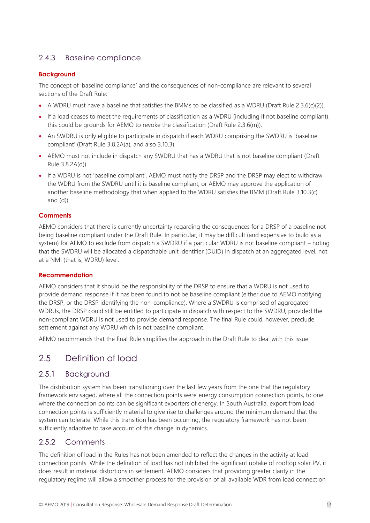### 2.4.3 Baseline compliance

#### **Background**

The concept of 'baseline compliance' and the consequences of non-compliance are relevant to several sections of the Draft Rule:

- A WDRU must have a baseline that satisfies the BMMs to be classified as a WDRU (Draft Rule 2.3.6(c)(2)).
- If a load ceases to meet the requirements of classification as a WDRU (including if not baseline compliant), this could be grounds for AEMO to revoke the classification (Draft Rule 2.3.6(m)).
- An SWDRU is only eligible to participate in dispatch if each WDRU comprising the SWDRU is 'baseline compliant' (Draft Rule 3.8.2A(a), and also 3.10.3).
- AEMO must not include in dispatch any SWDRU that has a WDRU that is not baseline compliant (Draft Rule 3.8.2A(d)).
- If a WDRU is not 'baseline compliant', AEMO must notify the DRSP and the DRSP may elect to withdraw the WDRU from the SWDRU until it is baseline compliant, or AEMO may approve the application of another baseline methodology that when applied to the WDRU satisfies the BMM (Draft Rule 3.10.3(c) and (d)).

#### **Comments**

AEMO considers that there is currently uncertainty regarding the consequences for a DRSP of a baseline not being baseline compliant under the Draft Rule. In particular, it may be difficult (and expensive to build as a system) for AEMO to exclude from dispatch a SWDRU if a particular WDRU is not baseline compliant – noting that the SWDRU will be allocated a dispatchable unit identifier (DUID) in dispatch at an aggregated level, not at a NMI (that is, WDRU) level.

#### **Recommendation**

AEMO considers that it should be the responsibility of the DRSP to ensure that a WDRU is not used to provide demand response if it has been found to not be baseline compliant (either due to AEMO notifying the DRSP, or the DRSP identifying the non-compliance). Where a SWDRU is comprised of aggregated WDRUs, the DRSP could still be entitled to participate in dispatch with respect to the SWDRU, provided the non-compliant WDRU is not used to provide demand response. The final Rule could, however, preclude settlement against any WDRU which is not baseline compliant.

AEMO recommends that the final Rule simplifies the approach in the Draft Rule to deal with this issue.

## 2.5 Definition of load

#### 2.5.1 Background

The distribution system has been transitioning over the last few years from the one that the regulatory framework envisaged, where all the connection points were energy consumption connection points, to one where the connection points can be significant exporters of energy. In South Australia, export from load connection points is sufficiently material to give rise to challenges around the minimum demand that the system can tolerate. While this transition has been occurring, the regulatory framework has not been sufficiently adaptive to take account of this change in dynamics.

#### 2.5.2 Comments

The definition of load in the Rules has not been amended to reflect the changes in the activity at load connection points. While the definition of load has not inhibited the significant uptake of rooftop solar PV, it does result in material distortions in settlement. AEMO considers that providing greater clarity in the regulatory regime will allow a smoother process for the provision of all available WDR from load connection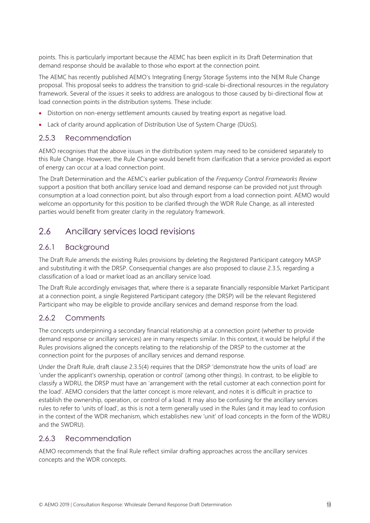points. This is particularly important because the AEMC has been explicit in its Draft Determination that demand response should be available to those who export at the connection point.

The AEMC has recently published AEMO's Integrating Energy Storage Systems into the NEM Rule Change proposal. This proposal seeks to address the transition to grid-scale bi-directional resources in the regulatory framework. Several of the issues it seeks to address are analogous to those caused by bi-directional flow at load connection points in the distribution systems. These include:

- Distortion on non-energy settlement amounts caused by treating export as negative load.
- Lack of clarity around application of Distribution Use of System Charge (DUoS).

#### 2.5.3 Recommendation

AEMO recognises that the above issues in the distribution system may need to be considered separately to this Rule Change. However, the Rule Change would benefit from clarification that a service provided as export of energy can occur at a load connection point.

The Draft Determination and the AEMC's earlier publication of the *Frequency Control Frameworks Review* support a position that both ancillary service load and demand response can be provided not just through consumption at a load connection point, but also through export from a load connection point. AEMO would welcome an opportunity for this position to be clarified through the WDR Rule Change, as all interested parties would benefit from greater clarity in the regulatory framework.

## 2.6 Ancillary services load revisions

#### 2.6.1 Background

The Draft Rule amends the existing Rules provisions by deleting the Registered Participant category MASP and substituting it with the DRSP. Consequential changes are also proposed to clause 2.3.5, regarding a classification of a load or market load as an ancillary service load.

The Draft Rule accordingly envisages that, where there is a separate financially responsible Market Participant at a connection point, a single Registered Participant category (the DRSP) will be the relevant Registered Participant who may be eligible to provide ancillary services and demand response from the load.

#### 2.6.2 Comments

The concepts underpinning a secondary financial relationship at a connection point (whether to provide demand response or ancillary services) are in many respects similar. In this context, it would be helpful if the Rules provisions aligned the concepts relating to the relationship of the DRSP to the customer at the connection point for the purposes of ancillary services and demand response.

Under the Draft Rule, draft clause 2.3.5(4) requires that the DRSP 'demonstrate how the units of load' are 'under the applicant's ownership, operation or control' (among other things). In contrast, to be eligible to classify a WDRU, the DRSP must have an 'arrangement with the retail customer at each connection point for the load'. AEMO considers that the latter concept is more relevant, and notes it is difficult in practice to establish the ownership, operation, or control of a load. It may also be confusing for the ancillary services rules to refer to 'units of load', as this is not a term generally used in the Rules (and it may lead to confusion in the context of the WDR mechanism, which establishes new 'unit' of load concepts in the form of the WDRU and the SWDRU).

#### 2.6.3 Recommendation

AEMO recommends that the final Rule reflect similar drafting approaches across the ancillary services concepts and the WDR concepts.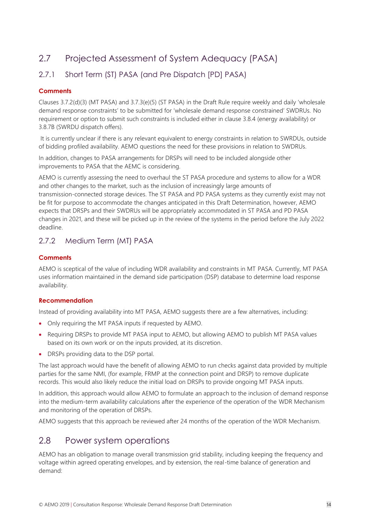## 2.7 Projected Assessment of System Adequacy (PASA)

## 2.7.1 Short Term (ST) PASA (and Pre Dispatch [PD] PASA)

#### **Comments**

Clauses 3.7.2(d)(3) (MT PASA) and 3.7.3(e)(5) (ST PASA) in the Draft Rule require weekly and daily 'wholesale demand response constraints' to be submitted for 'wholesale demand response constrained' SWDRUs. No requirement or option to submit such constraints is included either in clause 3.8.4 (energy availability) or 3.8.7B (SWRDU dispatch offers).

It is currently unclear if there is any relevant equivalent to energy constraints in relation to SWRDUs, outside of bidding profiled availability. AEMO questions the need for these provisions in relation to SWDRUs.

In addition, changes to PASA arrangements for DRSPs will need to be included alongside other improvements to PASA that the AEMC is considering.

AEMO is currently assessing the need to overhaul the ST PASA procedure and systems to allow for a WDR and other changes to the market, such as the inclusion of increasingly large amounts of transmission-connected storage devices. The ST PASA and PD PASA systems as they currently exist may not be fit for purpose to accommodate the changes anticipated in this Draft Determination, however, AEMO expects that DRSPs and their SWDRUs will be appropriately accommodated in ST PASA and PD PASA changes in 2021, and these will be picked up in the review of the systems in the period before the July 2022 deadline.

### 2.7.2 Medium Term (MT) PASA

#### **Comments**

AEMO is sceptical of the value of including WDR availability and constraints in MT PASA. Currently, MT PASA uses information maintained in the demand side participation (DSP) database to determine load response availability.

#### **Recommendation**

Instead of providing availability into MT PASA, AEMO suggests there are a few alternatives, including:

- Only requiring the MT PASA inputs if requested by AEMO.
- Requiring DRSPs to provide MT PASA input to AEMO, but allowing AEMO to publish MT PASA values based on its own work or on the inputs provided, at its discretion.
- DRSPs providing data to the DSP portal.

The last approach would have the benefit of allowing AEMO to run checks against data provided by multiple parties for the same NMI, (for example, FRMP at the connection point and DRSP) to remove duplicate records. This would also likely reduce the initial load on DRSPs to provide ongoing MT PASA inputs.

In addition, this approach would allow AEMO to formulate an approach to the inclusion of demand response into the medium-term availability calculations after the experience of the operation of the WDR Mechanism and monitoring of the operation of DRSPs.

AEMO suggests that this approach be reviewed after 24 months of the operation of the WDR Mechanism.

## 2.8 Power system operations

AEMO has an obligation to manage overall transmission grid stability, including keeping the frequency and voltage within agreed operating envelopes, and by extension, the real-time balance of generation and demand: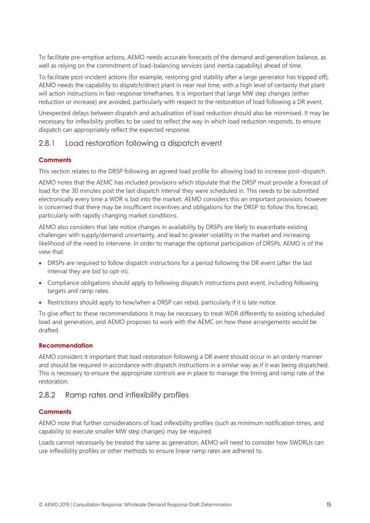To facilitate pre-emptive actions, AEMO needs accurate forecasts of the demand and generation balance, as well as relying on the commitment of load-balancing services (and inertia capability) ahead of time.

To facilitate post-incident actions (for example, restoring grid stability after a large generator has tripped off), AEMO needs the capability to dispatch/direct plant in near real time, with a high level of certainty that plant will action instructions in fast-response timeframes. It is important that large MW step changes (either reduction or increase) are avoided, particularly with respect to the restoration of load following a DR event.

Unexpected delays between dispatch and actualisation of load reduction should also be minimised. It may be necessary for inflexibility profiles to be used to reflect the way in which load reduction responds, to ensure dispatch can appropriately reflect the expected response.

#### 2.8.1 Load restoration following a dispatch event

#### **Comments**

This section relates to the DRSP following an agreed load profile for allowing load to increase post-dispatch.

AEMO notes that the AEMC has included provisions which stipulate that the DRSP must provide a forecast of load for the 30 minutes post the last dispatch interval they were scheduled in. This needs to be submitted electronically every time a WDR is bid into the market. AEMO considers this an important provision, however is concerned that there may be insufficient incentives and obligations for the DRSP to follow this forecast, particularly with rapidly changing market conditions.

AEMO also considers that late notice changes in availability by DRSPs are likely to exacerbate existing challenges with supply/demand uncertainty, and lead to greater volatility in the market and increasing likelihood of the need to intervene. In order to manage the optional participation of DRSPs, AEMO is of the view that:

- DRSPs are required to follow dispatch instructions for a period following the DR event (after the last interval they are bid to opt-in).
- Compliance obligations should apply to following dispatch instructions post event, including following targets and ramp rates.
- Restrictions should apply to how/when a DRSP can rebid, particularly if it is late notice.

To give effect to these recommendations it may be necessary to treat WDR differently to existing scheduled load and generation, and AEMO proposes to work with the AEMC on how these arrangements would be drafted.

#### **Recommendation**

AEMO considers it important that load restoration following a DR event should occur in an orderly manner and should be required in accordance with dispatch instructions in a similar way as if it was being dispatched. This is necessary to ensure the appropriate controls are in place to manage the timing and ramp rate of the restoration.

#### 2.8.2 Ramp rates and inflexibility profiles

#### **Comments**

AEMO note that further considerations of load inflexibility profiles (such as minimum notification times, and capability to execute smaller MW step changes) may be required.

Loads cannot necessarily be treated the same as generation, AEMO will need to consider how SWDRUs can use inflexibility profiles or other methods to ensure linear ramp rates are adhered to.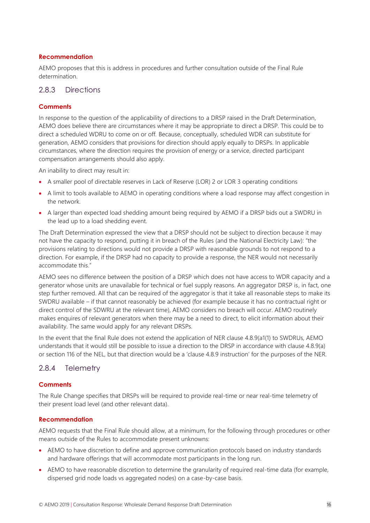#### **Recommendation**

AEMO proposes that this is address in procedures and further consultation outside of the Final Rule determination.

#### 2.8.3 Directions

#### **Comments**

In response to the question of the applicability of directions to a DRSP raised in the Draft Determination, AEMO does believe there are circumstances where it may be appropriate to direct a DRSP. This could be to direct a scheduled WDRU to come on or off. Because, conceptually, scheduled WDR can substitute for generation, AEMO considers that provisions for direction should apply equally to DRSPs. In applicable circumstances, where the direction requires the provision of energy or a service, directed participant compensation arrangements should also apply.

An inability to direct may result in:

- A smaller pool of directable reserves in Lack of Reserve (LOR) 2 or LOR 3 operating conditions
- A limit to tools available to AEMO in operating conditions where a load response may affect congestion in the network.
- A larger than expected load shedding amount being required by AEMO if a DRSP bids out a SWDRU in the lead up to a load shedding event.

The Draft Determination expressed the view that a DRSP should not be subject to direction because it may not have the capacity to respond, putting it in breach of the Rules (and the National Electricity Law): "the provisions relating to directions would not provide a DRSP with reasonable grounds to not respond to a direction. For example, if the DRSP had no capacity to provide a response, the NER would not necessarily accommodate this."

AEMO sees no difference between the position of a DRSP which does not have access to WDR capacity and a generator whose units are unavailable for technical or fuel supply reasons. An aggregator DRSP is, in fact, one step further removed. All that can be required of the aggregator is that it take all reasonable steps to make its SWDRU available – if that cannot reasonably be achieved (for example because it has no contractual right or direct control of the SDWRU at the relevant time), AEMO considers no breach will occur. AEMO routinely makes enquires of relevant generators when there may be a need to direct, to elicit information about their availability. The same would apply for any relevant DRSPs.

In the event that the final Rule does not extend the application of NER clause 4.8.9(a1(1) to SWDRUs, AEMO understands that it would still be possible to issue a direction to the DRSP in accordance with clause 4.8.9(a) or section 116 of the NEL, but that direction would be a 'clause 4.8.9 instruction' for the purposes of the NER.

#### 2.8.4 Telemetry

#### **Comments**

The Rule Change specifies that DRSPs will be required to provide real-time or near real-time telemetry of their present load level (and other relevant data).

#### **Recommendation**

AEMO requests that the Final Rule should allow, at a minimum, for the following through procedures or other means outside of the Rules to accommodate present unknowns:

- AEMO to have discretion to define and approve communication protocols based on industry standards and hardware offerings that will accommodate most participants in the long run.
- AEMO to have reasonable discretion to determine the granularity of required real-time data (for example, dispersed grid node loads vs aggregated nodes) on a case-by-case basis.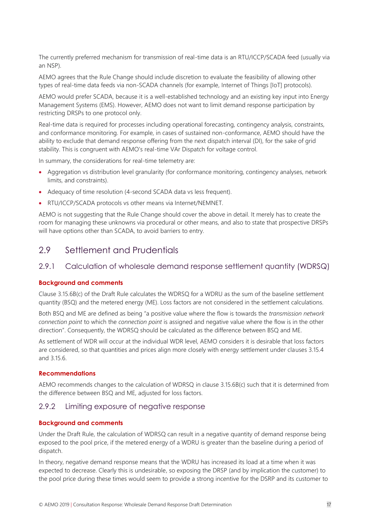The currently preferred mechanism for transmission of real-time data is an RTU/ICCP/SCADA feed (usually via an NSP).

AEMO agrees that the Rule Change should include discretion to evaluate the feasibility of allowing other types of real-time data feeds via non-SCADA channels (for example, Internet of Things [IoT] protocols).

AEMO would prefer SCADA, because it is a well-established technology and an existing key input into Energy Management Systems (EMS). However, AEMO does not want to limit demand response participation by restricting DRSPs to one protocol only.

Real-time data is required for processes including operational forecasting, contingency analysis, constraints, and conformance monitoring. For example, in cases of sustained non-conformance, AEMO should have the ability to exclude that demand response offering from the next dispatch interval (DI), for the sake of grid stability. This is congruent with AEMO's real-time VAr Dispatch for voltage control.

In summary, the considerations for real-time telemetry are:

- Aggregation vs distribution level granularity (for conformance monitoring, contingency analyses, network limits, and constraints).
- Adequacy of time resolution (4-second SCADA data vs less frequent).
- RTU/ICCP/SCADA protocols vs other means via Internet/NEMNET.

AEMO is not suggesting that the Rule Change should cover the above in detail. It merely has to create the room for managing these unknowns via procedural or other means, and also to state that prospective DRSPs will have options other than SCADA, to avoid barriers to entry.

## 2.9 Settlement and Prudentials

#### 2.9.1 Calculation of wholesale demand response settlement quantity (WDRSQ)

#### **Background and comments**

Clause 3.15.6B(c) of the Draft Rule calculates the WDRSQ for a WDRU as the sum of the baseline settlement quantity (BSQ) and the metered energy (ME). Loss factors are not considered in the settlement calculations.

Both BSQ and ME are defined as being "a positive value where the flow is towards the *transmission network connection point* to which the *connection point* is assigned and negative value where the flow is in the other direction". Consequently, the WDRSQ should be calculated as the difference between BSQ and ME.

As settlement of WDR will occur at the individual WDR level, AEMO considers it is desirable that loss factors are considered, so that quantities and prices align more closely with energy settlement under clauses 3.15.4 and 3.15.6.

#### **Recommendations**

AEMO recommends changes to the calculation of WDRSQ in clause 3.15.6B(c) such that it is determined from the difference between BSQ and ME, adjusted for loss factors.

#### 2.9.2 Limiting exposure of negative response

#### **Background and comments**

Under the Draft Rule, the calculation of WDRSQ can result in a negative quantity of demand response being exposed to the pool price, if the metered energy of a WDRU is greater than the baseline during a period of dispatch.

In theory, negative demand response means that the WDRU has increased its load at a time when it was expected to decrease. Clearly this is undesirable, so exposing the DRSP (and by implication the customer) to the pool price during these times would seem to provide a strong incentive for the DSRP and its customer to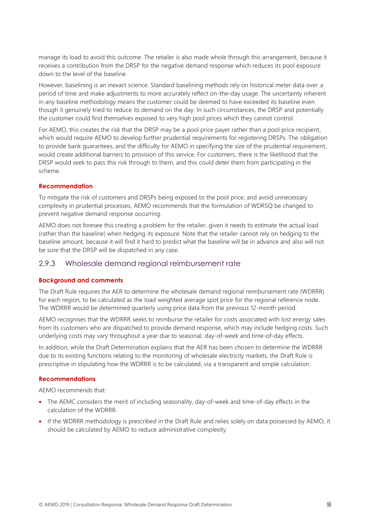manage its load to avoid this outcome. The retailer is also made whole through this arrangement, because it receives a contribution from the DRSP for the negative demand response which reduces its pool exposure down to the level of the baseline.

However, baselining is an inexact science. Standard baselining methods rely on historical meter data over a period of time and make adjustments to more accurately reflect on-the-day usage. The uncertainty inherent in any baseline methodology means the customer could be deemed to have exceeded its baseline even though it genuinely tried to reduce its demand on the day. In such circumstances, the DRSP and potentially the customer could find themselves exposed to very high pool prices which they cannot control.

For AEMO, this creates the risk that the DRSP may be a pool price payer rather than a pool price recipient, which would require AEMO to develop further prudential requirements for registering DRSPs. The obligation to provide bank guarantees, and the difficulty for AEMO in specifying the size of the prudential requirement, would create additional barriers to provision of this service. For customers, there is the likelihood that the DRSP would seek to pass this risk through to them, and this could deter them from participating in the scheme.

#### **Recommendation**

To mitigate the risk of customers and DRSPs being exposed to the pool price, and avoid unnecessary complexity in prudential processes, AEMO recommends that the formulation of WDRSQ be changed to prevent negative demand response occurring.

AEMO does not foresee this creating a problem for the retailer, given it needs to estimate the actual load (rather than the baseline) when hedging its exposure. Note that the retailer cannot rely on hedging to the baseline amount, because it will find it hard to predict what the baseline will be in advance and also will not be sure that the DRSP will be dispatched in any case.

#### 2.9.3 Wholesale demand regional reimbursement rate

#### **Background and comments**

The Draft Rule requires the AER to determine the wholesale demand regional reimbursement rate (WDRRR) for each region, to be calculated as the load weighted average spot price for the regional reference node. The WDRRR would be determined quarterly using price data from the previous 12-month period.

AEMO recognises that the WDRRR seeks to reimburse the retailer for costs associated with lost energy sales from its customers who are dispatched to provide demand response, which may include hedging costs. Such underlying costs may vary throughout a year due to seasonal, day-of-week and time-of-day effects.

In addition, while the Draft Determination explains that the AER has been chosen to determine the WDRRR due to its existing functions relating to the monitoring of wholesale electricity markets, the Draft Rule is prescriptive in stipulating how the WDRRR is to be calculated, via a transparent and simple calculation.

#### **Recommendations**

AEMO recommends that:

- The AEMC considers the merit of including seasonality, day-of-week and time-of-day effects in the calculation of the WDRRR.
- If the WDRRR methodology is prescribed in the Draft Rule and relies solely on data possessed by AEMO, it should be calculated by AEMO to reduce administrative complexity.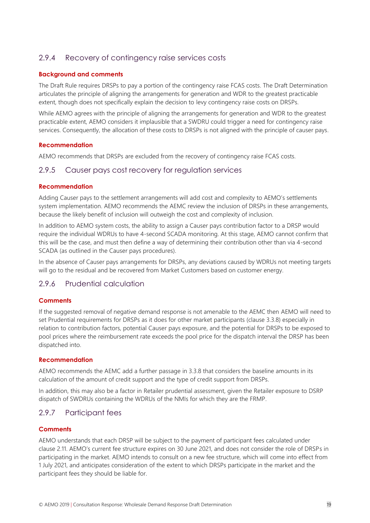#### 2.9.4 Recovery of contingency raise services costs

#### **Background and comments**

The Draft Rule requires DRSPs to pay a portion of the contingency raise FCAS costs. The Draft Determination articulates the principle of aligning the arrangements for generation and WDR to the greatest practicable extent, though does not specifically explain the decision to levy contingency raise costs on DRSPs.

While AEMO agrees with the principle of aligning the arrangements for generation and WDR to the greatest practicable extent, AEMO considers it implausible that a SWDRU could trigger a need for contingency raise services. Consequently, the allocation of these costs to DRSPs is not aligned with the principle of causer pays.

#### **Recommendation**

AEMO recommends that DRSPs are excluded from the recovery of contingency raise FCAS costs.

#### 2.9.5 Causer pays cost recovery for regulation services

#### **Recommendation**

Adding Causer pays to the settlement arrangements will add cost and complexity to AEMO's settlements system implementation. AEMO recommends the AEMC review the inclusion of DRSPs in these arrangements, because the likely benefit of inclusion will outweigh the cost and complexity of inclusion.

In addition to AEMO system costs, the ability to assign a Causer pays contribution factor to a DRSP would require the individual WDRUs to have 4-second SCADA monitoring. At this stage, AEMO cannot confirm that this will be the case, and must then define a way of determining their contribution other than via 4-second SCADA (as outlined in the Causer pays procedures).

In the absence of Causer pays arrangements for DRSPs, any deviations caused by WDRUs not meeting targets will go to the residual and be recovered from Market Customers based on customer energy.

#### 2.9.6 Prudential calculation

#### **Comments**

If the suggested removal of negative demand response is not amenable to the AEMC then AEMO will need to set Prudential requirements for DRSPs as it does for other market participants (clause 3.3.8) especially in relation to contribution factors, potential Causer pays exposure, and the potential for DRSPs to be exposed to pool prices where the reimbursement rate exceeds the pool price for the dispatch interval the DRSP has been dispatched into.

#### **Recommendation**

AEMO recommends the AEMC add a further passage in 3.3.8 that considers the baseline amounts in its calculation of the amount of credit support and the type of credit support from DRSPs.

In addition, this may also be a factor in Retailer prudential assessment, given the Retailer exposure to DSRP dispatch of SWDRUs containing the WDRUs of the NMIs for which they are the FRMP.

#### 2.9.7 Participant fees

#### **Comments**

AEMO understands that each DRSP will be subject to the payment of participant fees calculated under clause 2.11. AEMO's current fee structure expires on 30 June 2021, and does not consider the role of DRSPs in participating in the market. AEMO intends to consult on a new fee structure, which will come into effect from 1 July 2021, and anticipates consideration of the extent to which DRSPs participate in the market and the participant fees they should be liable for.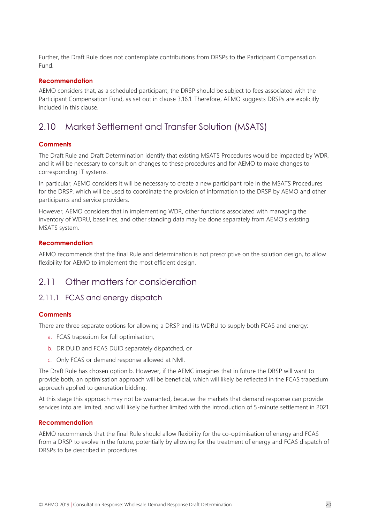Further, the Draft Rule does not contemplate contributions from DRSPs to the Participant Compensation Fund.

#### **Recommendation**

AEMO considers that, as a scheduled participant, the DRSP should be subject to fees associated with the Participant Compensation Fund, as set out in clause 3.16.1. Therefore, AEMO suggests DRSPs are explicitly included in this clause.

## 2.10 Market Settlement and Transfer Solution (MSATS)

#### **Comments**

The Draft Rule and Draft Determination identify that existing MSATS Procedures would be impacted by WDR, and it will be necessary to consult on changes to these procedures and for AEMO to make changes to corresponding IT systems.

In particular, AEMO considers it will be necessary to create a new participant role in the MSATS Procedures for the DRSP, which will be used to coordinate the provision of information to the DRSP by AEMO and other participants and service providers.

However, AEMO considers that in implementing WDR, other functions associated with managing the inventory of WDRU, baselines, and other standing data may be done separately from AEMO's existing MSATS system.

#### **Recommendation**

AEMO recommends that the final Rule and determination is not prescriptive on the solution design, to allow flexibility for AEMO to implement the most efficient design.

## 2.11 Other matters for consideration

#### 2.11.1 FCAS and energy dispatch

#### **Comments**

There are three separate options for allowing a DRSP and its WDRU to supply both FCAS and energy:

- a. FCAS trapezium for full optimisation,
- b. DR DUID and FCAS DUID separately dispatched, or
- c. Only FCAS or demand response allowed at NMI.

The Draft Rule has chosen option b. However, if the AEMC imagines that in future the DRSP will want to provide both, an optimisation approach will be beneficial, which will likely be reflected in the FCAS trapezium approach applied to generation bidding.

At this stage this approach may not be warranted, because the markets that demand response can provide services into are limited, and will likely be further limited with the introduction of 5-minute settlement in 2021.

#### **Recommendation**

AEMO recommends that the final Rule should allow flexibility for the co-optimisation of energy and FCAS from a DRSP to evolve in the future, potentially by allowing for the treatment of energy and FCAS dispatch of DRSPs to be described in procedures.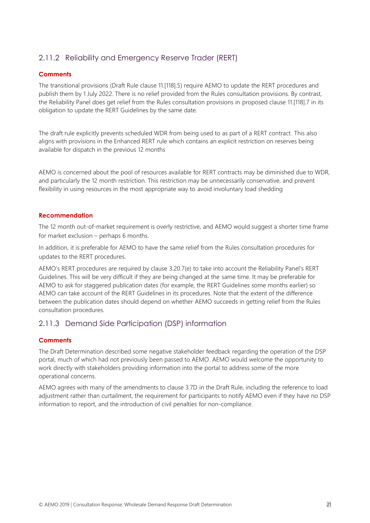### 2.11.2 Reliability and Emergency Reserve Trader (RERT)

#### **Comments**

The transitional provisions (Draft Rule clause 11.[118].5) require AEMO to update the RERT procedures and publish them by 1 July 2022. There is no relief provided from the Rules consultation provisions. By contrast, the Reliability Panel does get relief from the Rules consultation provisions in proposed clause 11.[118].7 in its obligation to update the RERT Guidelines by the same date.

The draft rule explicitly prevents scheduled WDR from being used to as part of a RERT contract. This also aligns with provisions in the Enhanced RERT rule which contains an explicit restriction on reserves being available for dispatch in the previous 12 months

AEMO is concerned about the pool of resources available for RERT contracts may be diminished due to WDR, and particularly the 12 month restriction. This restriction may be unnecessarily conservative, and prevent flexibility in using resources in the most appropriate way to avoid involuntary load shedding

#### **Recommendation**

The 12 month out-of-market requirement is overly restrictive, and AEMO would suggest a shorter time frame for market exclusion – perhaps 6 months.

In addition, it is preferable for AEMO to have the same relief from the Rules consultation procedures for updates to the RERT procedures.

AEMO's RERT procedures are required by clause 3.20.7(e) to take into account the Reliability Panel's RERT Guidelines. This will be very difficult if they are being changed at the same time. It may be preferable for AEMO to ask for staggered publication dates (for example, the RERT Guidelines some months earlier) so AEMO can take account of the RERT Guidelines in its procedures. Note that the extent of the difference between the publication dates should depend on whether AEMO succeeds in getting relief from the Rules consultation procedures.

#### 2.11.3 Demand Side Participation (DSP) information

#### **Comments**

The Draft Determination described some negative stakeholder feedback regarding the operation of the DSP portal, much of which had not previously been passed to AEMO. AEMO would welcome the opportunity to work directly with stakeholders providing information into the portal to address some of the more operational concerns.

AEMO agrees with many of the amendments to clause 3.7D in the Draft Rule, including the reference to load adjustment rather than curtailment, the requirement for participants to notify AEMO even if they have no DSP information to report, and the introduction of civil penalties for non-compliance.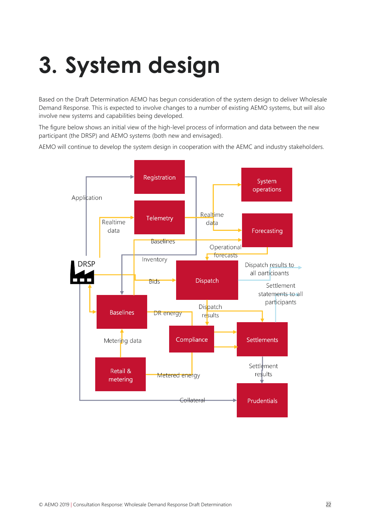## **3. System design**

Based on the Draft Determination AEMO has begun consideration of the system design to deliver Wholesale Demand Response. This is expected to involve changes to a number of existing AEMO systems, but will also involve new systems and capabilities being developed.

The figure below shows an initial view of the high-level process of information and data between the new participant (the DRSP) and AEMO systems (both new and envisaged).

AEMO will continue to develop the system design in cooperation with the AEMC and industry stakeholders.